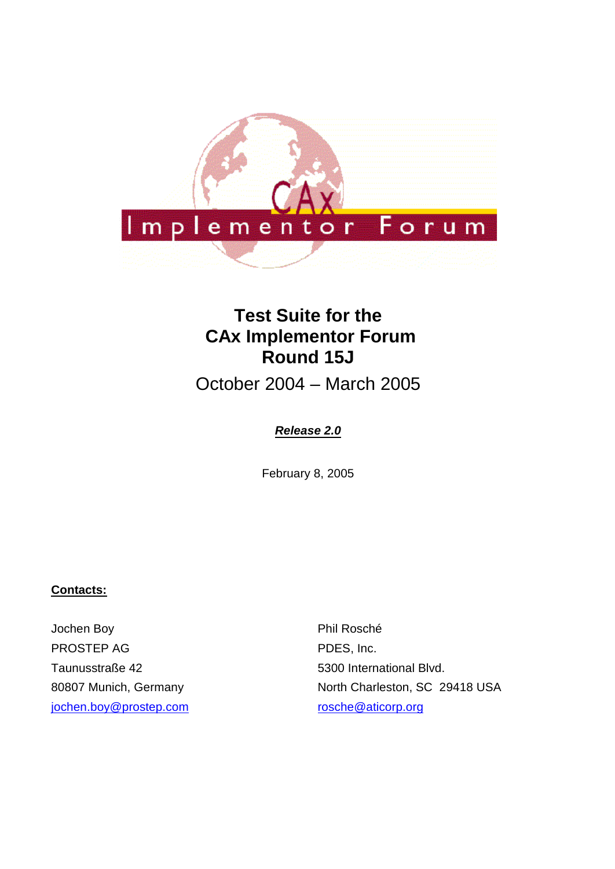

# **Test Suite for the CAx Implementor Forum Round 15J**

October 2004 – March 2005

# *Release 2.0*

February 8, 2005

#### **Contacts:**

Jochen Boy PROSTEP AG Taunusstraße 42 80807 Munich, Germany jochen.boy@prostep.com Phil Rosché PDES, Inc. 5300 International Blvd. North Charleston, SC 29418 USA rosche@aticorp.org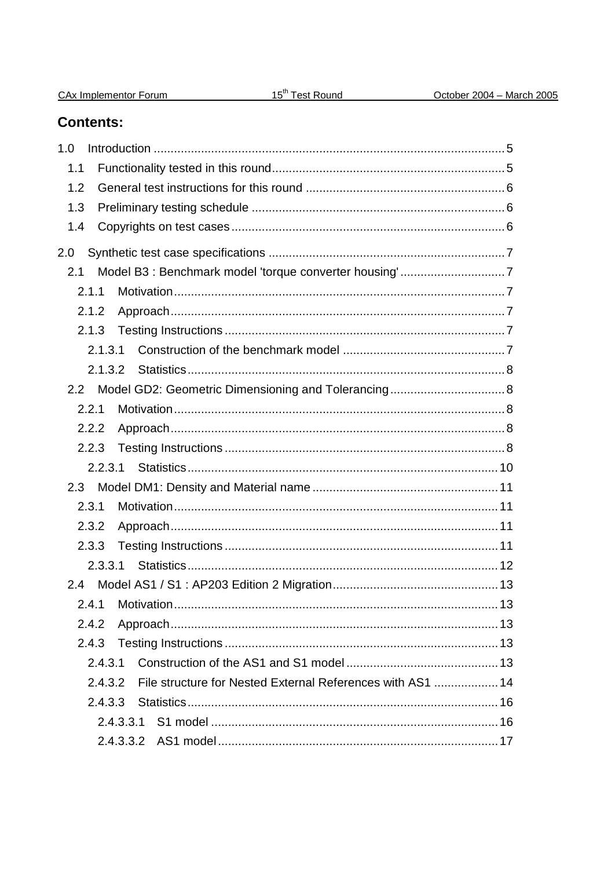| CAx Implementor Forum |
|-----------------------|
|-----------------------|

# **Contents:**

| 1.0                                                                   |  |
|-----------------------------------------------------------------------|--|
| 1.1                                                                   |  |
|                                                                       |  |
| 1.2                                                                   |  |
| 1.3                                                                   |  |
| 1.4                                                                   |  |
| 2.0                                                                   |  |
| 2.1                                                                   |  |
| 2.1.1                                                                 |  |
| 2.1.2                                                                 |  |
| 2.1.3                                                                 |  |
| 2.1.3.1                                                               |  |
| 2.1.3.2                                                               |  |
|                                                                       |  |
| 2.2.1                                                                 |  |
| 2.2.2                                                                 |  |
| 2.2.3                                                                 |  |
| 2.2.3.1                                                               |  |
|                                                                       |  |
| 2.3.1                                                                 |  |
| 2.3.2                                                                 |  |
| 2.3.3                                                                 |  |
| 2.3.3.1                                                               |  |
| 2.4                                                                   |  |
|                                                                       |  |
| 2.4.2                                                                 |  |
| 2.4.3                                                                 |  |
| 2.4.3.1                                                               |  |
| File structure for Nested External References with AS1  14<br>2.4.3.2 |  |
|                                                                       |  |
|                                                                       |  |
|                                                                       |  |
|                                                                       |  |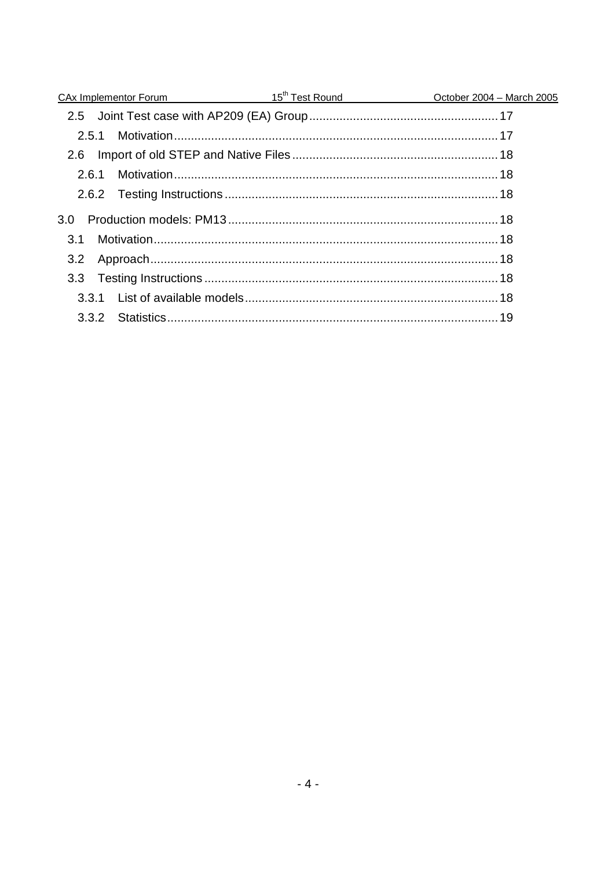|       |  | <u>CAx Implementor Forum 15<sup>th</sup> Test Round</u> CAx Implementor Forum 2005 |
|-------|--|------------------------------------------------------------------------------------|
|       |  |                                                                                    |
|       |  |                                                                                    |
| 2.6   |  |                                                                                    |
| 2.6.1 |  |                                                                                    |
|       |  |                                                                                    |
| 3.0   |  |                                                                                    |
| .3.1  |  |                                                                                    |
|       |  |                                                                                    |
|       |  |                                                                                    |
|       |  |                                                                                    |
|       |  |                                                                                    |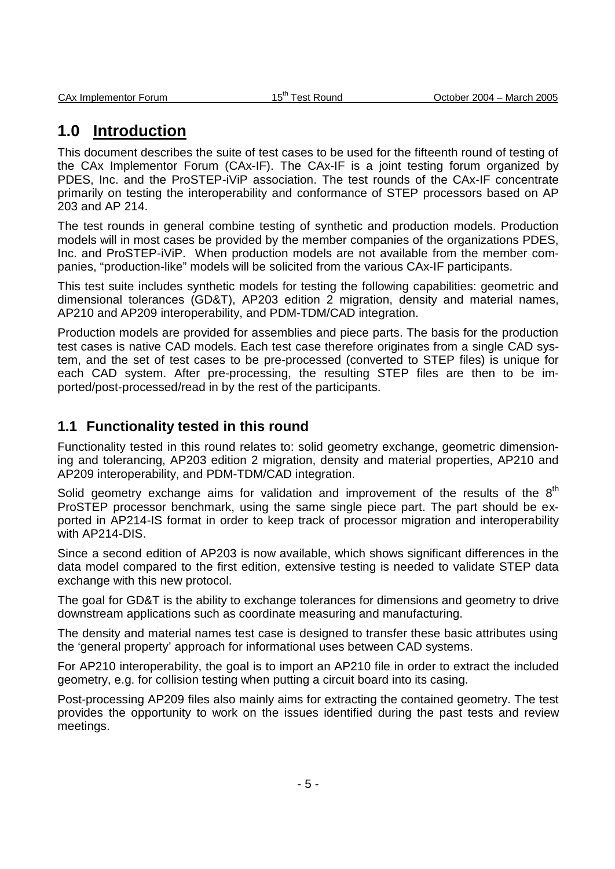# **1.0 Introduction**

This document describes the suite of test cases to be used for the fifteenth round of testing of the CAx Implementor Forum (CAx-IF). The CAx-IF is a joint testing forum organized by PDES, Inc. and the ProSTEP-iViP association. The test rounds of the CAx-IF concentrate primarily on testing the interoperability and conformance of STEP processors based on AP 203 and AP 214.

The test rounds in general combine testing of synthetic and production models. Production models will in most cases be provided by the member companies of the organizations PDES, Inc. and ProSTEP-iViP. When production models are not available from the member companies, "production-like" models will be solicited from the various CAx-IF participants.

This test suite includes synthetic models for testing the following capabilities: geometric and dimensional tolerances (GD&T), AP203 edition 2 migration, density and material names, AP210 and AP209 interoperability, and PDM-TDM/CAD integration.

Production models are provided for assemblies and piece parts. The basis for the production test cases is native CAD models. Each test case therefore originates from a single CAD system, and the set of test cases to be pre-processed (converted to STEP files) is unique for each CAD system. After pre-processing, the resulting STEP files are then to be imported/post-processed/read in by the rest of the participants.

### **1.1 Functionality tested in this round**

Functionality tested in this round relates to: solid geometry exchange, geometric dimensioning and tolerancing, AP203 edition 2 migration, density and material properties, AP210 and AP209 interoperability, and PDM-TDM/CAD integration.

Solid geometry exchange aims for validation and improvement of the results of the  $8<sup>th</sup>$ ProSTEP processor benchmark, using the same single piece part. The part should be exported in AP214-IS format in order to keep track of processor migration and interoperability with AP214-DIS.

Since a second edition of AP203 is now available, which shows significant differences in the data model compared to the first edition, extensive testing is needed to validate STEP data exchange with this new protocol.

The goal for GD&T is the ability to exchange tolerances for dimensions and geometry to drive downstream applications such as coordinate measuring and manufacturing.

The density and material names test case is designed to transfer these basic attributes using the 'general property' approach for informational uses between CAD systems.

For AP210 interoperability, the goal is to import an AP210 file in order to extract the included geometry, e.g. for collision testing when putting a circuit board into its casing.

Post-processing AP209 files also mainly aims for extracting the contained geometry. The test provides the opportunity to work on the issues identified during the past tests and review meetings.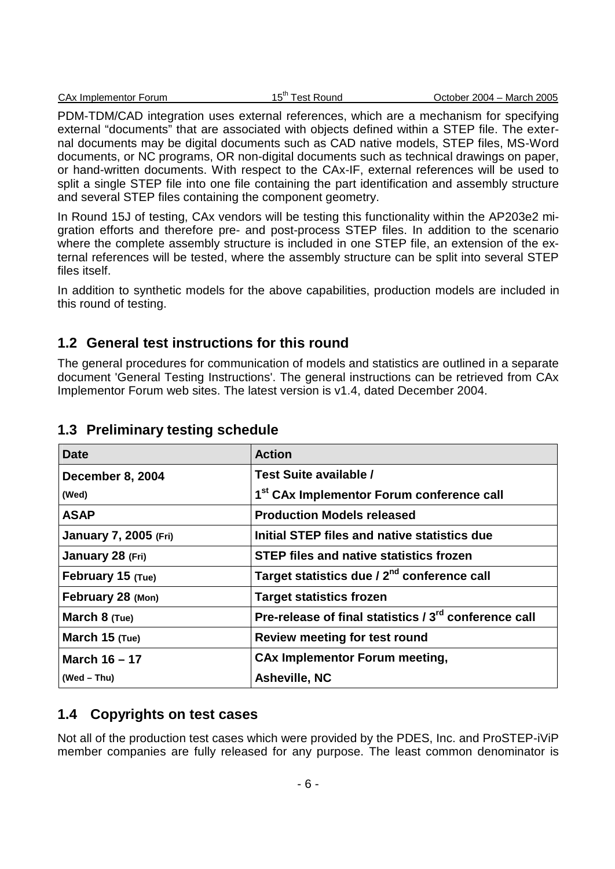|  | CAx Implementor Forum | . – in –<br><b>Test Round</b> | October 2004 – March 2005 |
|--|-----------------------|-------------------------------|---------------------------|
|--|-----------------------|-------------------------------|---------------------------|

PDM-TDM/CAD integration uses external references, which are a mechanism for specifying external "documents" that are associated with objects defined within a STEP file. The external documents may be digital documents such as CAD native models, STEP files, MS-Word documents, or NC programs, OR non-digital documents such as technical drawings on paper, or hand-written documents. With respect to the CAx-IF, external references will be used to split a single STEP file into one file containing the part identification and assembly structure and several STEP files containing the component geometry.

In Round 15J of testing, CAx vendors will be testing this functionality within the AP203e2 migration efforts and therefore pre- and post-process STEP files. In addition to the scenario where the complete assembly structure is included in one STEP file, an extension of the external references will be tested, where the assembly structure can be split into several STEP files itself.

In addition to synthetic models for the above capabilities, production models are included in this round of testing.

## **1.2 General test instructions for this round**

The general procedures for communication of models and statistics are outlined in a separate document 'General Testing Instructions'. The general instructions can be retrieved from CAx Implementor Forum web sites. The latest version is v1.4, dated December 2004.

| <b>Date</b>                  | <b>Action</b>                                                     |
|------------------------------|-------------------------------------------------------------------|
| December 8, 2004             | Test Suite available /                                            |
| (Wed)                        | 1 <sup>st</sup> CAx Implementor Forum conference call             |
| <b>ASAP</b>                  | <b>Production Models released</b>                                 |
| <b>January 7, 2005 (Fri)</b> | Initial STEP files and native statistics due                      |
| January 28 (Fri)             | <b>STEP files and native statistics frozen</b>                    |
| February 15 (Tue)            | Target statistics due / 2 <sup>nd</sup> conference call           |
| February 28 (Mon)            | <b>Target statistics frozen</b>                                   |
| March $8$ (Tue)              | Pre-release of final statistics / 3 <sup>rd</sup> conference call |
| March 15 (Tue)               | <b>Review meeting for test round</b>                              |
| March 16 - 17                | <b>CAx Implementor Forum meeting,</b>                             |
| $(Wed - Thu)$                | <b>Asheville, NC</b>                                              |

### **1.3 Preliminary testing schedule**

# **1.4 Copyrights on test cases**

Not all of the production test cases which were provided by the PDES, Inc. and ProSTEP-iViP member companies are fully released for any purpose. The least common denominator is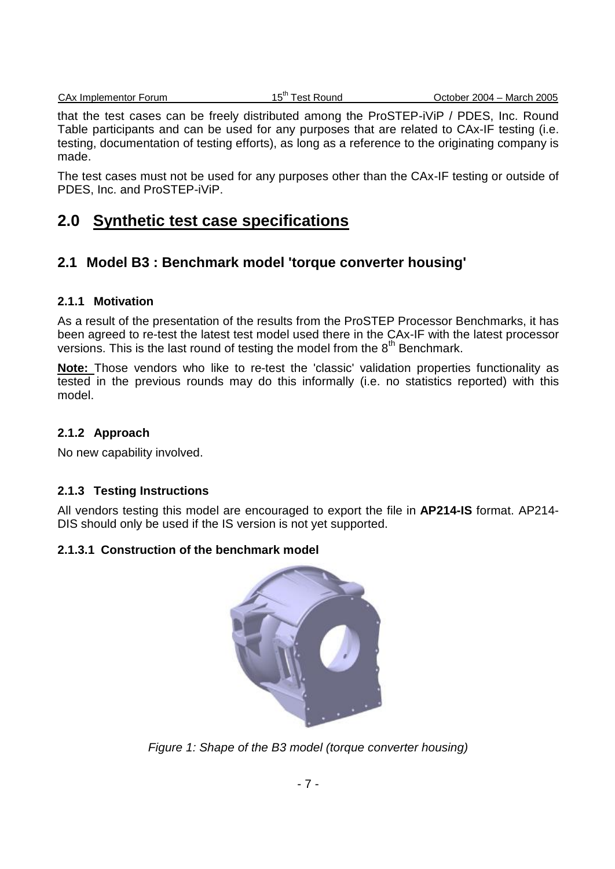CAx Implementor Forum 15<sup>th</sup> Test Round CAx Implementor Forum 15<sup>th</sup> Test Round Cotober 2004 – March 2005

that the test cases can be freely distributed among the ProSTEP-iViP / PDES, Inc. Round Table participants and can be used for any purposes that are related to CAx-IF testing (i.e. testing, documentation of testing efforts), as long as a reference to the originating company is made.

The test cases must not be used for any purposes other than the CAx-IF testing or outside of PDES, Inc. and ProSTEP-iViP.

# **2.0 Synthetic test case specifications**

# **2.1 Model B3 : Benchmark model 'torque converter housing'**

#### **2.1.1 Motivation**

As a result of the presentation of the results from the ProSTEP Processor Benchmarks, it has been agreed to re-test the latest test model used there in the CAx-IF with the latest processor versions. This is the last round of testing the model from the  $8<sup>th</sup>$  Benchmark.

**Note:** Those vendors who like to re-test the 'classic' validation properties functionality as tested in the previous rounds may do this informally (i.e. no statistics reported) with this model.

### **2.1.2 Approach**

No new capability involved.

### **2.1.3 Testing Instructions**

All vendors testing this model are encouraged to export the file in **AP214-IS** format. AP214- DIS should only be used if the IS version is not yet supported.

### **2.1.3.1 Construction of the benchmark model**



*Figure 1: Shape of the B3 model (torque converter housing)*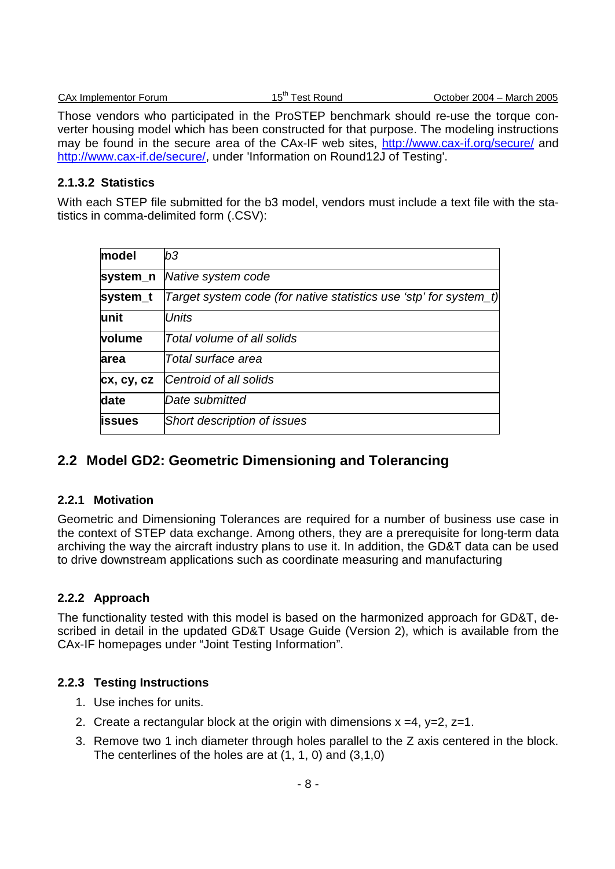| CAx Implementor Forum |  |
|-----------------------|--|
|                       |  |

Those vendors who participated in the ProSTEP benchmark should re-use the torque converter housing model which has been constructed for that purpose. The modeling instructions may be found in the secure area of the CAx-IF web sites, http://www.cax-if.org/secure/ and http://www.cax-if.de/secure/, under 'Information on Round12J of Testing'.

#### **2.1.3.2 Statistics**

With each STEP file submitted for the b3 model, vendors must include a text file with the statistics in comma-delimited form (.CSV):

| model      | b3                                                                |
|------------|-------------------------------------------------------------------|
| system_n   | Native system code                                                |
| system_t   | Target system code (for native statistics use 'stp' for system_t) |
| lunit      | <b>Units</b>                                                      |
| volume     | Total volume of all solids                                        |
| larea      | Total surface area                                                |
| cx, cy, cz | Centroid of all solids                                            |
| date       | Date submitted                                                    |
| lissues    | Short description of issues                                       |
|            |                                                                   |

### **2.2 Model GD2: Geometric Dimensioning and Tolerancing**

#### **2.2.1 Motivation**

Geometric and Dimensioning Tolerances are required for a number of business use case in the context of STEP data exchange. Among others, they are a prerequisite for long-term data archiving the way the aircraft industry plans to use it. In addition, the GD&T data can be used to drive downstream applications such as coordinate measuring and manufacturing

#### **2.2.2 Approach**

The functionality tested with this model is based on the harmonized approach for GD&T, described in detail in the updated GD&T Usage Guide (Version 2), which is available from the CAx-IF homepages under "Joint Testing Information".

#### **2.2.3 Testing Instructions**

- 1. Use inches for units.
- 2. Create a rectangular block at the origin with dimensions  $x = 4$ ,  $y = 2$ ,  $z = 1$ .
- 3. Remove two 1 inch diameter through holes parallel to the Z axis centered in the block. The centerlines of the holes are at (1, 1, 0) and (3,1,0)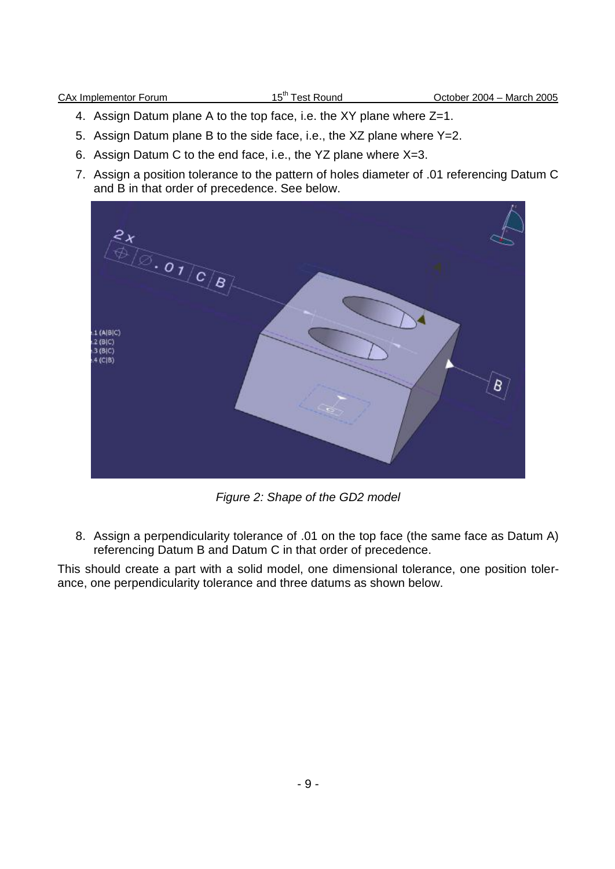- 4. Assign Datum plane A to the top face, i.e. the XY plane where Z=1.
- 5. Assign Datum plane B to the side face, i.e., the XZ plane where Y=2.
- 6. Assign Datum C to the end face, i.e., the YZ plane where X=3.
- 7. Assign a position tolerance to the pattern of holes diameter of .01 referencing Datum C and B in that order of precedence. See below.



*Figure 2: Shape of the GD2 model*

8. Assign a perpendicularity tolerance of .01 on the top face (the same face as Datum A) referencing Datum B and Datum C in that order of precedence.

This should create a part with a solid model, one dimensional tolerance, one position tolerance, one perpendicularity tolerance and three datums as shown below.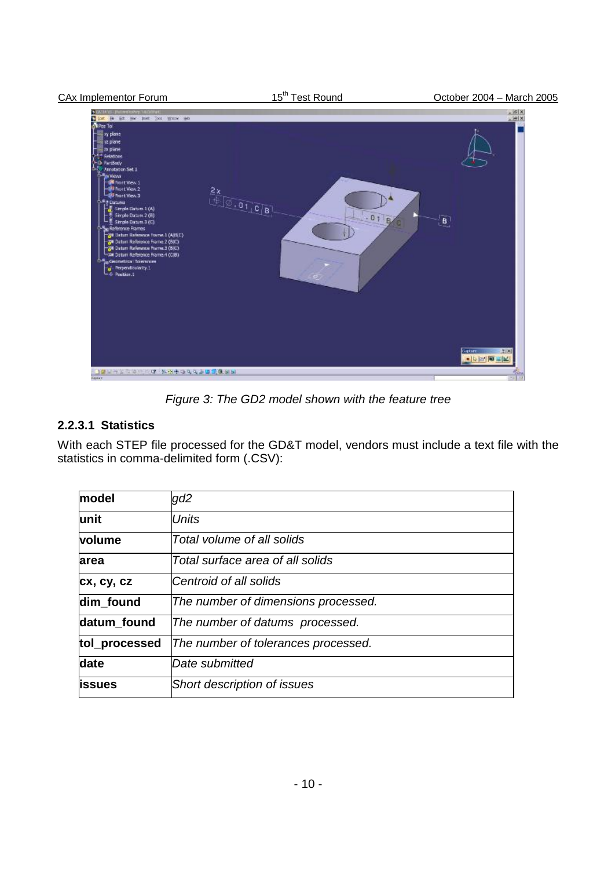

*Figure 3: The GD2 model shown with the feature tree*

### **2.2.3.1 Statistics**

With each STEP file processed for the GD&T model, vendors must include a text file with the statistics in comma-delimited form (.CSV):

| model         | gd2                                 |
|---------------|-------------------------------------|
| unit          | <b>Units</b>                        |
| volume        | Total volume of all solids          |
| area          | Total surface area of all solids    |
| cx, cy, cz    | Centroid of all solids              |
| dim_found     | The number of dimensions processed. |
| datum found   | The number of datums processed.     |
| tol_processed | The number of tolerances processed. |
| date          | Date submitted                      |
| <b>issues</b> | Short description of issues         |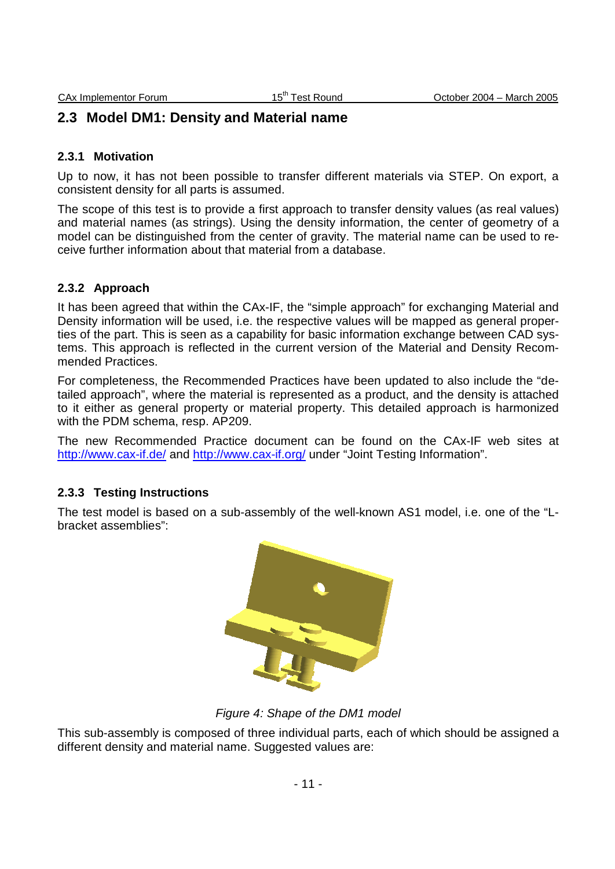# **2.3 Model DM1: Density and Material name**

#### **2.3.1 Motivation**

Up to now, it has not been possible to transfer different materials via STEP. On export, a consistent density for all parts is assumed.

The scope of this test is to provide a first approach to transfer density values (as real values) and material names (as strings). Using the density information, the center of geometry of a model can be distinguished from the center of gravity. The material name can be used to receive further information about that material from a database.

#### **2.3.2 Approach**

It has been agreed that within the CAx-IF, the "simple approach" for exchanging Material and Density information will be used, i.e. the respective values will be mapped as general properties of the part. This is seen as a capability for basic information exchange between CAD systems. This approach is reflected in the current version of the Material and Density Recommended Practices.

For completeness, the Recommended Practices have been updated to also include the "detailed approach", where the material is represented as a product, and the density is attached to it either as general property or material property. This detailed approach is harmonized with the PDM schema, resp. AP209.

The new Recommended Practice document can be found on the CAx-IF web sites at http://www.cax-if.de/ and http://www.cax-if.org/ under "Joint Testing Information".

#### **2.3.3 Testing Instructions**

The test model is based on a sub-assembly of the well-known AS1 model, i.e. one of the "Lbracket assemblies":



*Figure 4: Shape of the DM1 model*

This sub-assembly is composed of three individual parts, each of which should be assigned a different density and material name. Suggested values are: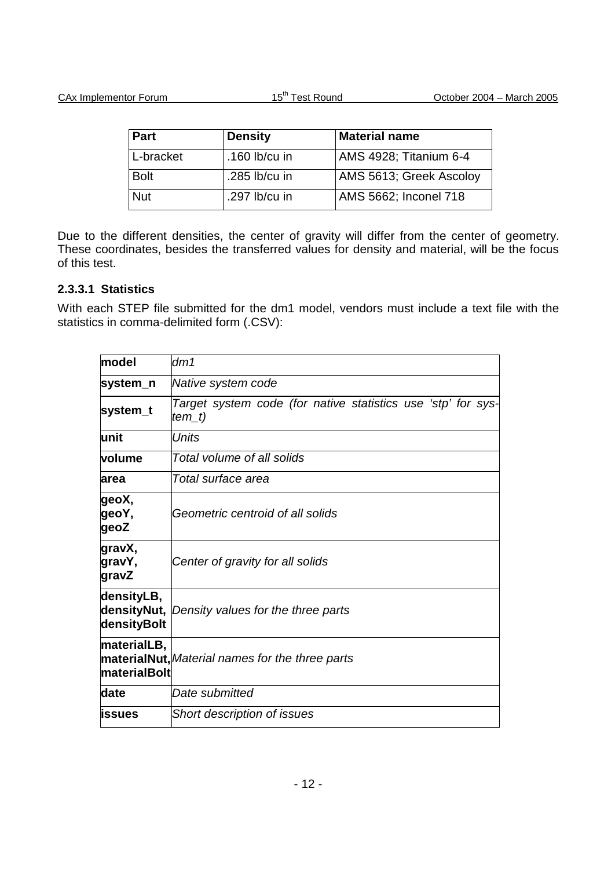| Part        | <b>Density</b> | <b>Material name</b>    |
|-------------|----------------|-------------------------|
| L-bracket   | .160 lb/cu in  | AMS 4928; Titanium 6-4  |
| <b>Bolt</b> | .285 lb/cu in  | AMS 5613; Greek Ascoloy |
| <b>Nut</b>  | .297 lb/cu in  | AMS 5662; Inconel 718   |

Due to the different densities, the center of gravity will differ from the center of geometry. These coordinates, besides the transferred values for density and material, will be the focus of this test.

#### **2.3.3.1 Statistics**

With each STEP file submitted for the dm1 model, vendors must include a text file with the statistics in comma-delimited form (.CSV):

| model                              | dm1                                                                      |  |
|------------------------------------|--------------------------------------------------------------------------|--|
| system_n                           | Native system code                                                       |  |
| system_t                           | Target system code (for native statistics use 'stp' for sys-<br>$tem_t)$ |  |
| lunit                              | Units                                                                    |  |
| lvolume                            | Total volume of all solids                                               |  |
| larea                              | Total surface area                                                       |  |
| ∣geoX,<br>geoY,<br>geoZ            | Geometric centroid of all solids                                         |  |
| gravX,<br>gravY,<br>gravZ          | Center of gravity for all solids                                         |  |
| densityLB,<br>densityBolt          | densityNut, Density values for the three parts                           |  |
| materialLB,<br><b>materialBolt</b> | materialNut, Material names for the three parts                          |  |
| ldate                              | Date submitted                                                           |  |
| lissues                            | <b>Short description of issues</b>                                       |  |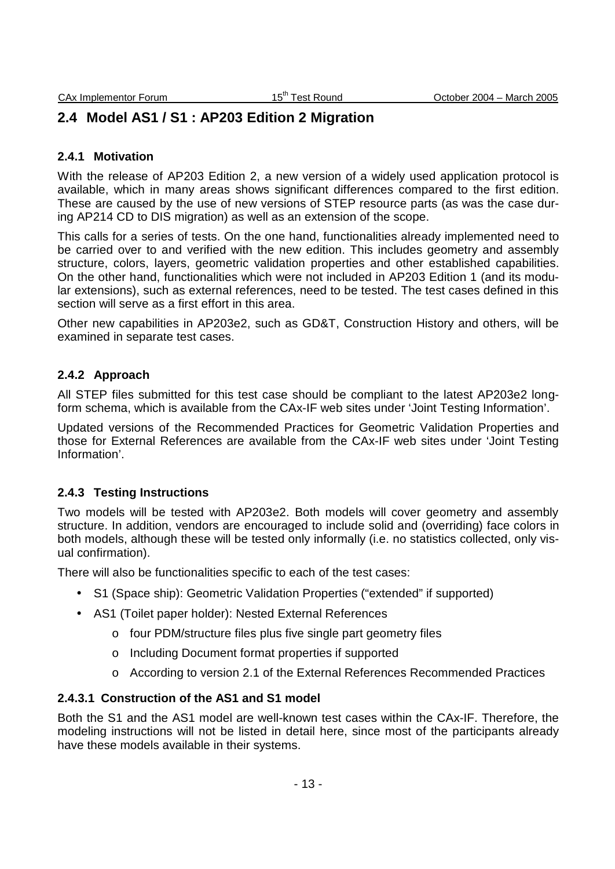# **2.4 Model AS1 / S1 : AP203 Edition 2 Migration**

#### **2.4.1 Motivation**

With the release of AP203 Edition 2, a new version of a widely used application protocol is available, which in many areas shows significant differences compared to the first edition. These are caused by the use of new versions of STEP resource parts (as was the case during AP214 CD to DIS migration) as well as an extension of the scope.

This calls for a series of tests. On the one hand, functionalities already implemented need to be carried over to and verified with the new edition. This includes geometry and assembly structure, colors, layers, geometric validation properties and other established capabilities. On the other hand, functionalities which were not included in AP203 Edition 1 (and its modular extensions), such as external references, need to be tested. The test cases defined in this section will serve as a first effort in this area.

Other new capabilities in AP203e2, such as GD&T, Construction History and others, will be examined in separate test cases.

#### **2.4.2 Approach**

All STEP files submitted for this test case should be compliant to the latest AP203e2 longform schema, which is available from the CAx-IF web sites under 'Joint Testing Information'.

Updated versions of the Recommended Practices for Geometric Validation Properties and those for External References are available from the CAx-IF web sites under 'Joint Testing Information'.

#### **2.4.3 Testing Instructions**

Two models will be tested with AP203e2. Both models will cover geometry and assembly structure. In addition, vendors are encouraged to include solid and (overriding) face colors in both models, although these will be tested only informally (i.e. no statistics collected, only visual confirmation).

There will also be functionalities specific to each of the test cases:

- S1 (Space ship): Geometric Validation Properties ("extended" if supported)
- AS1 (Toilet paper holder): Nested External References
	- o four PDM/structure files plus five single part geometry files
	- o Including Document format properties if supported
	- o According to version 2.1 of the External References Recommended Practices

#### **2.4.3.1 Construction of the AS1 and S1 model**

Both the S1 and the AS1 model are well-known test cases within the CAx-IF. Therefore, the modeling instructions will not be listed in detail here, since most of the participants already have these models available in their systems.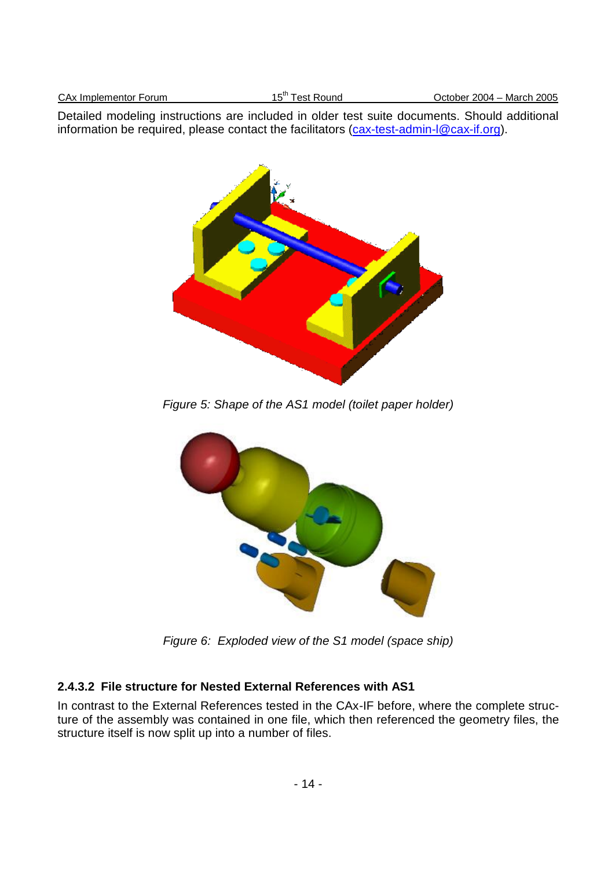| <sup>+ ∈th</sup> Test Round<br>October 2004 - March 2005<br>CAx Implementor Forum |
|-----------------------------------------------------------------------------------|
|-----------------------------------------------------------------------------------|

Detailed modeling instructions are included in older test suite documents. Should additional information be required, please contact the facilitators (cax-test-admin-l@cax-if.org).



*Figure 5: Shape of the AS1 model (toilet paper holder)*



*Figure 6: Exploded view of the S1 model (space ship)*

#### **2.4.3.2 File structure for Nested External References with AS1**

In contrast to the External References tested in the CAx-IF before, where the complete structure of the assembly was contained in one file, which then referenced the geometry files, the structure itself is now split up into a number of files.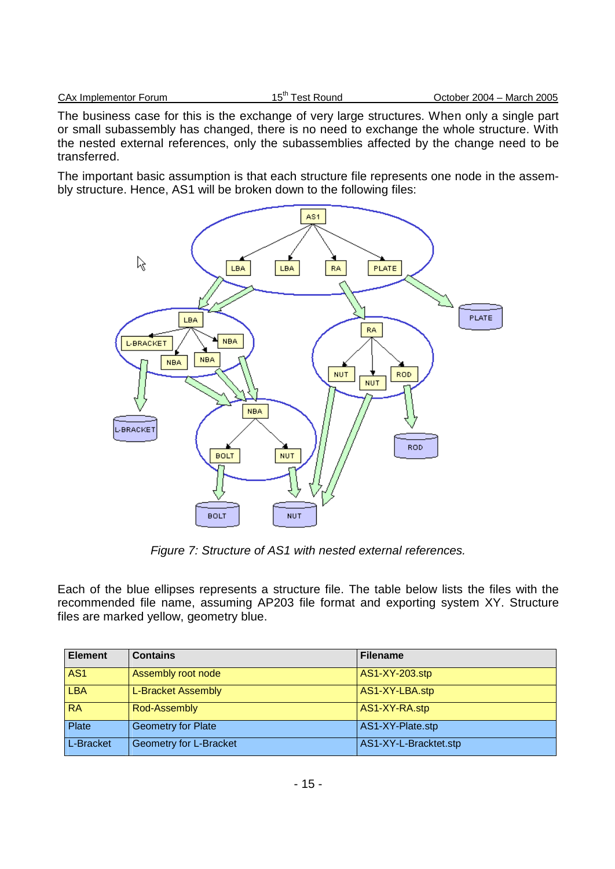The business case for this is the exchange of very large structures. When only a single part or small subassembly has changed, there is no need to exchange the whole structure. With the nested external references, only the subassemblies affected by the change need to be transferred.

The important basic assumption is that each structure file represents one node in the assembly structure. Hence, AS1 will be broken down to the following files:



*Figure 7: Structure of AS1 with nested external references.*

Each of the blue ellipses represents a structure file. The table below lists the files with the recommended file name, assuming AP203 file format and exporting system XY. Structure files are marked yellow, geometry blue.

| <b>Element</b>  | <b>Contains</b>           | <b>Filename</b>       |
|-----------------|---------------------------|-----------------------|
| AS <sub>1</sub> | Assembly root node        | AS1-XY-203.stp        |
| <b>LBA</b>      | L-Bracket Assembly        | AS1-XY-LBA.stp        |
| <b>RA</b>       | Rod-Assembly              | AS1-XY-RA.stp         |
| Plate           | <b>Geometry for Plate</b> | AS1-XY-Plate.stp      |
| L-Bracket       | Geometry for L-Bracket    | AS1-XY-L-Bracktet.stp |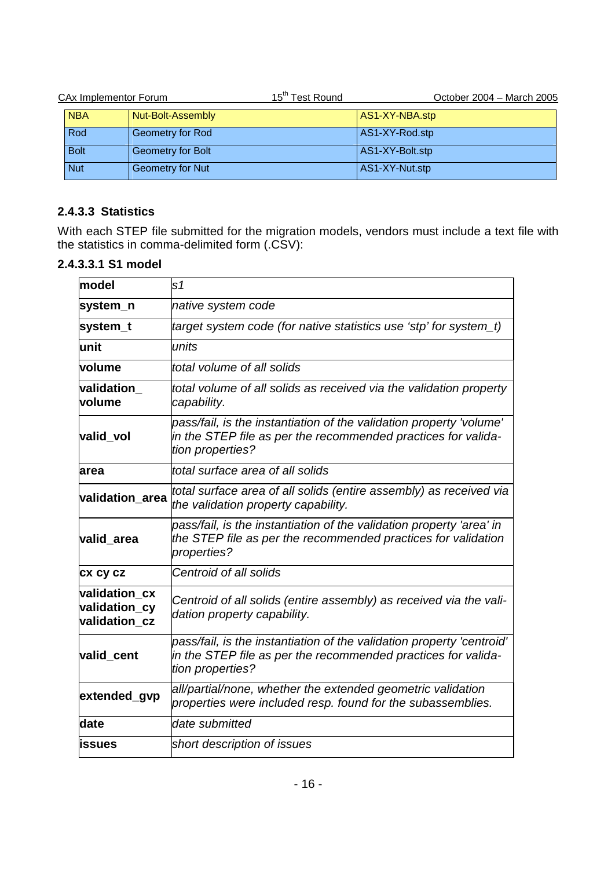| <b>CAx Implementor Forum</b> |                         | 15 <sup>th</sup> Test Round | October 2004 - March 2005 |
|------------------------------|-------------------------|-----------------------------|---------------------------|
| <b>NBA</b>                   | Nut-Bolt-Assembly       |                             | AS1-XY-NBA.stp            |
| Rod                          | Geometry for Rod        |                             | AS1-XY-Rod.stp            |
| <b>Bolt</b>                  | Geometry for Bolt       |                             | AS1-XY-Bolt.stp           |
| <b>Nut</b>                   | <b>Geometry for Nut</b> |                             | AS1-XY-Nut.stp            |

### **2.4.3.3 Statistics**

With each STEP file submitted for the migration models, vendors must include a text file with the statistics in comma-delimited form (.CSV):

#### **2.4.3.3.1 S1 model**

| model                                           | s <sub>1</sub>                                                                                                                                             |  |
|-------------------------------------------------|------------------------------------------------------------------------------------------------------------------------------------------------------------|--|
| system_n                                        | native system code                                                                                                                                         |  |
| system_t                                        | target system code (for native statistics use 'stp' for system_t)                                                                                          |  |
| lunit                                           | units                                                                                                                                                      |  |
| volume                                          | total volume of all solids                                                                                                                                 |  |
| validation<br>volume                            | total volume of all solids as received via the validation property<br>capability.                                                                          |  |
| valid vol                                       | pass/fail, is the instantiation of the validation property 'volume'<br>in the STEP file as per the recommended practices for valida-<br>tion properties?   |  |
| larea                                           | total surface area of all solids                                                                                                                           |  |
| validation area                                 | total surface area of all solids (entire assembly) as received via<br>the validation property capability.                                                  |  |
| valid_area                                      | pass/fail, is the instantiation of the validation property 'area' in<br>the STEP file as per the recommended practices for validation<br>properties?       |  |
| <b>CX CY CZ</b>                                 | Centroid of all solids                                                                                                                                     |  |
| validation cx<br>validation_cy<br>validation cz | Centroid of all solids (entire assembly) as received via the vali-<br>dation property capability.                                                          |  |
| valid_cent                                      | pass/fail, is the instantiation of the validation property 'centroid'<br>in the STEP file as per the recommended practices for valida-<br>tion properties? |  |
| extended_gvp                                    | all/partial/none, whether the extended geometric validation<br>properties were included resp. found for the subassemblies.                                 |  |
| date                                            | date submitted                                                                                                                                             |  |
| lissues                                         | short description of issues                                                                                                                                |  |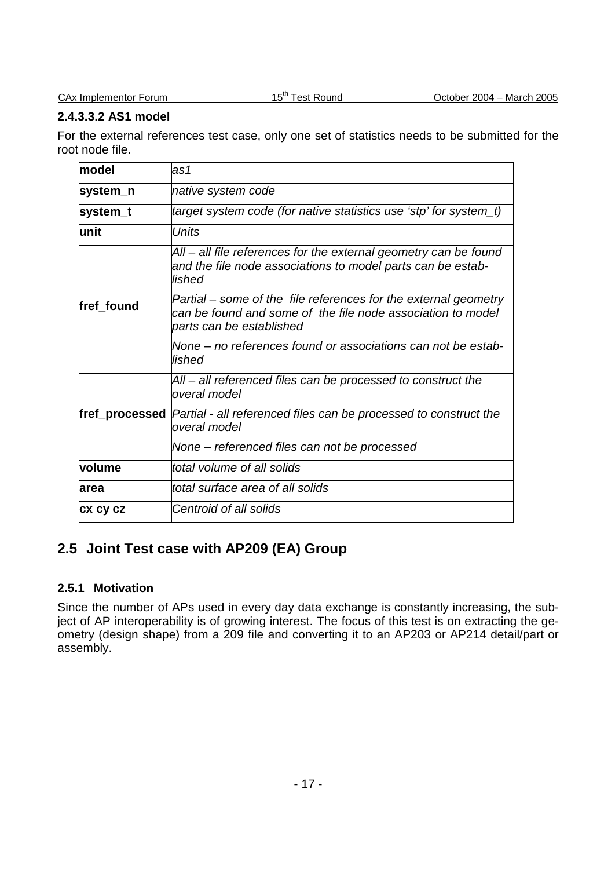#### **2.4.3.3.2 AS1 model**

For the external references test case, only one set of statistics needs to be submitted for the root node file.

| model           | las1                                                                                                                                                       |  |
|-----------------|------------------------------------------------------------------------------------------------------------------------------------------------------------|--|
| system_n        | native system code                                                                                                                                         |  |
| system_t        | target system code (for native statistics use 'stp' for system_t)                                                                                          |  |
| lunit           | <b>Units</b>                                                                                                                                               |  |
|                 | All – all file references for the external geometry can be found<br>and the file node associations to model parts can be estab-<br>lished                  |  |
| fref found      | Partial – some of the file references for the external geometry<br>can be found and some of the file node association to model<br>parts can be established |  |
|                 | None – no references found or associations can not be estab-<br>lished                                                                                     |  |
|                 | All – all referenced files can be processed to construct the<br>overal model                                                                               |  |
|                 | <b>fref_processed</b>  Partial - all referenced files can be processed to construct the<br>overal model                                                    |  |
|                 | None – referenced files can not be processed                                                                                                               |  |
| volume          | total volume of all solids                                                                                                                                 |  |
| larea           | ltotal surface area of all solids                                                                                                                          |  |
| <b>CX CY CZ</b> | Centroid of all solids                                                                                                                                     |  |

# **2.5 Joint Test case with AP209 (EA) Group**

#### **2.5.1 Motivation**

Since the number of APs used in every day data exchange is constantly increasing, the subject of AP interoperability is of growing interest. The focus of this test is on extracting the geometry (design shape) from a 209 file and converting it to an AP203 or AP214 detail/part or assembly.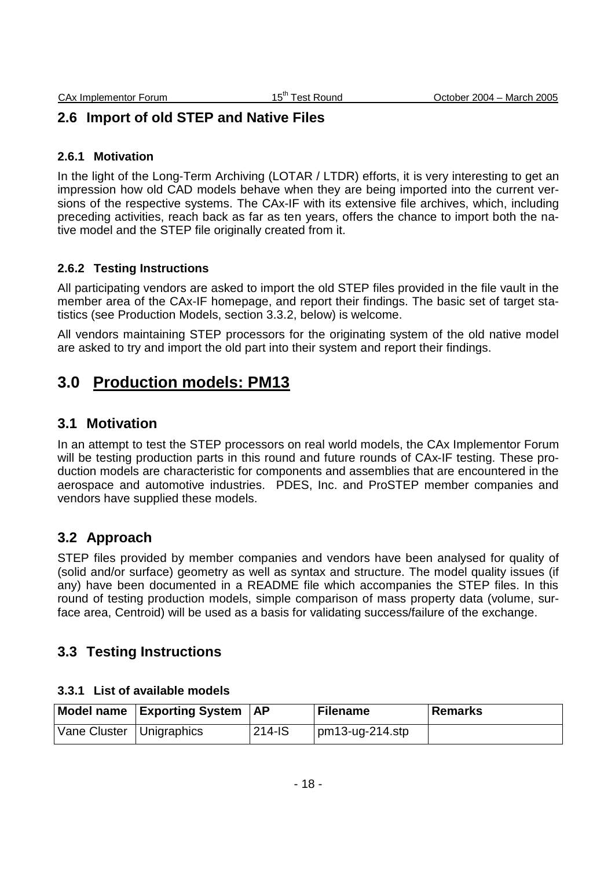# **2.6 Import of old STEP and Native Files**

#### **2.6.1 Motivation**

In the light of the Long-Term Archiving (LOTAR / LTDR) efforts, it is very interesting to get an impression how old CAD models behave when they are being imported into the current versions of the respective systems. The CAx-IF with its extensive file archives, which, including preceding activities, reach back as far as ten years, offers the chance to import both the native model and the STEP file originally created from it.

#### **2.6.2 Testing Instructions**

All participating vendors are asked to import the old STEP files provided in the file vault in the member area of the CAx-IF homepage, and report their findings. The basic set of target statistics (see Production Models, section 3.3.2, below) is welcome.

All vendors maintaining STEP processors for the originating system of the old native model are asked to try and import the old part into their system and report their findings.

# **3.0 Production models: PM13**

### **3.1 Motivation**

In an attempt to test the STEP processors on real world models, the CAx Implementor Forum will be testing production parts in this round and future rounds of CAx-IF testing. These production models are characteristic for components and assemblies that are encountered in the aerospace and automotive industries. PDES, Inc. and ProSTEP member companies and vendors have supplied these models.

### **3.2 Approach**

STEP files provided by member companies and vendors have been analysed for quality of (solid and/or surface) geometry as well as syntax and structure. The model quality issues (if any) have been documented in a README file which accompanies the STEP files. In this round of testing production models, simple comparison of mass property data (volume, surface area, Centroid) will be used as a basis for validating success/failure of the exchange.

### **3.3 Testing Instructions**

#### **3.3.1 List of available models**

|                            | Model name   Exporting System   AP |        | <b>Filename</b>    | Remarks |
|----------------------------|------------------------------------|--------|--------------------|---------|
| Vane Cluster   Unigraphics |                                    | 214-IS | $pm13$ -ug-214.stp |         |